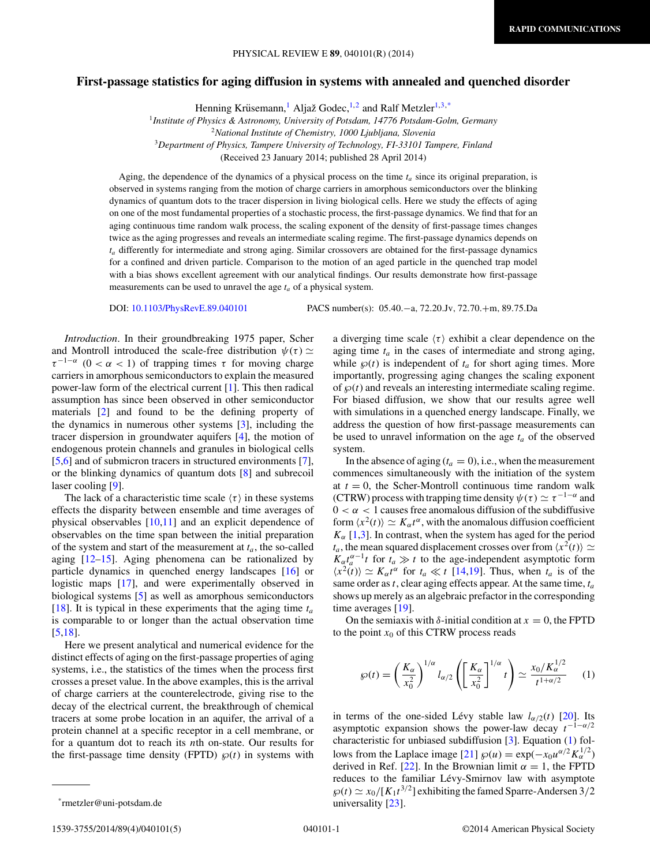## <span id="page-0-0"></span>**First-passage statistics for aging diffusion in systems with annealed and quenched disorder**

Henning Krüsemann,<sup>1</sup> Aljaž Godec,<sup>1,2</sup> and Ralf Metzler<sup>1,3,\*</sup>

<sup>1</sup>*Institute of Physics & Astronomy, University of Potsdam, 14776 Potsdam-Golm, Germany*

<sup>2</sup>*National Institute of Chemistry, 1000 Ljubljana, Slovenia*

<sup>3</sup>*Department of Physics, Tampere University of Technology, FI-33101 Tampere, Finland*

(Received 23 January 2014; published 28 April 2014)

Aging, the dependence of the dynamics of a physical process on the time  $t_a$  since its original preparation, is observed in systems ranging from the motion of charge carriers in amorphous semiconductors over the blinking dynamics of quantum dots to the tracer dispersion in living biological cells. Here we study the effects of aging on one of the most fundamental properties of a stochastic process, the first-passage dynamics. We find that for an aging continuous time random walk process, the scaling exponent of the density of first-passage times changes twice as the aging progresses and reveals an intermediate scaling regime. The first-passage dynamics depends on *ta* differently for intermediate and strong aging. Similar crossovers are obtained for the first-passage dynamics for a confined and driven particle. Comparison to the motion of an aged particle in the quenched trap model with a bias shows excellent agreement with our analytical findings. Our results demonstrate how first-passage measurements can be used to unravel the age *ta* of a physical system.

DOI: [10.1103/PhysRevE.89.040101](http://dx.doi.org/10.1103/PhysRevE.89.040101) PACS number(s): 05*.*40*.*−a*,* 72*.*20*.*Jv*,* 72*.*70*.*+m*,* 89*.*75*.*Da

*Introduction*. In their groundbreaking 1975 paper, Scher and Montroll introduced the scale-free distribution  $\psi(\tau) \simeq$  $\tau^{-1-\alpha}$  (0 <  $\alpha$  < 1) of trapping times  $\tau$  for moving charge carriers in amorphous semiconductors to explain the measured power-law form of the electrical current [\[1\]](#page-3-0). This then radical assumption has since been observed in other semiconductor materials [\[2\]](#page-3-0) and found to be the defining property of the dynamics in numerous other systems [\[3\]](#page-3-0), including the tracer dispersion in groundwater aquifers [\[4\]](#page-3-0), the motion of endogenous protein channels and granules in biological cells [\[5,6\]](#page-3-0) and of submicron tracers in structured environments [\[7\]](#page-3-0), or the blinking dynamics of quantum dots [\[8\]](#page-3-0) and subrecoil laser cooling [\[9\]](#page-3-0).

The lack of a characteristic time scale  $\langle \tau \rangle$  in these systems effects the disparity between ensemble and time averages of physical observables [\[10](#page-3-0)[,11\]](#page-4-0) and an explicit dependence of observables on the time span between the initial preparation of the system and start of the measurement at  $t_a$ , the so-called aging [\[12–15\]](#page-4-0). Aging phenomena can be rationalized by particle dynamics in quenched energy landscapes [\[16\]](#page-4-0) or logistic maps [\[17\]](#page-4-0), and were experimentally observed in biological systems [\[5\]](#page-3-0) as well as amorphous semiconductors [\[18\]](#page-4-0). It is typical in these experiments that the aging time *ta* is comparable to or longer than the actual observation time [\[5](#page-3-0)[,18\]](#page-4-0).

Here we present analytical and numerical evidence for the distinct effects of aging on the first-passage properties of aging systems, i.e., the statistics of the times when the process first crosses a preset value. In the above examples, this is the arrival of charge carriers at the counterelectrode, giving rise to the decay of the electrical current, the breakthrough of chemical tracers at some probe location in an aquifer, the arrival of a protein channel at a specific receptor in a cell membrane, or for a quantum dot to reach its *n*th on-state. Our results for the first-passage time density (FPTD)  $\wp(t)$  in systems with

aging time  $t_a$  in the cases of intermediate and strong aging, while  $\wp(t)$  is independent of  $t_a$  for short aging times. More importantly, progressing aging changes the scaling exponent of  $\wp(t)$  and reveals an interesting intermediate scaling regime. For biased diffusion, we show that our results agree well with simulations in a quenched energy landscape. Finally, we address the question of how first-passage measurements can be used to unravel information on the age  $t_a$  of the observed system.

a diverging time scale  $\langle \tau \rangle$  exhibit a clear dependence on the

In the absence of aging  $(t_a = 0)$ , i.e., when the measurement commences simultaneously with the initiation of the system at  $t = 0$ , the Scher-Montroll continuous time random walk (CTRW) process with trapping time density  $\psi(\tau) \simeq \tau^{-1-\alpha}$  and  $0 < \alpha < 1$  causes free anomalous diffusion of the subdiffusive form  $\langle x^2(t) \rangle \simeq K_\alpha t^\alpha$ , with the anomalous diffusion coefficient  $K_{\alpha}$  [\[1,3\]](#page-3-0). In contrast, when the system has aged for the period  $t_a$ , the mean squared displacement crosses over from  $\langle x^2(t) \rangle \simeq$  $K_{\alpha}t_{a}^{\alpha-1}t$  for  $t_{a} \gg t$  to the age-independent asymptotic form  $\langle x^2(t) \rangle \simeq K_\alpha t^\alpha$  for  $t_a \ll t$  [\[14,19\]](#page-4-0). Thus, when  $t_a$  is of the same order as*t*, clear aging effects appear. At the same time, *ta* shows up merely as an algebraic prefactor in the corresponding time averages [\[19\]](#page-4-0).

On the semiaxis with  $\delta$ -initial condition at  $x = 0$ , the FPTD to the point  $x_0$  of this CTRW process reads

$$
\wp(t) = \left(\frac{K_{\alpha}}{x_0^2}\right)^{1/\alpha} l_{\alpha/2} \left(\left[\frac{K_{\alpha}}{x_0^2}\right]^{1/\alpha} t\right) \simeq \frac{x_0/K_{\alpha}^{1/2}}{t^{1+\alpha/2}} \qquad (1)
$$

in terms of the one-sided Lévy stable law  $l_{\alpha/2}(t)$  [\[20\]](#page-4-0). Its asymptotic expansion shows the power-law decay *t*<sup>−</sup>1−*α/*<sup>2</sup> characteristic for unbiased subdiffusion [\[3\]](#page-3-0). Equation (1) follows from the Laplace image  $[21] \wp(u) = \exp(-x_0 u^{\alpha/2} K_{\alpha}^{1/2})$  $[21] \wp(u) = \exp(-x_0 u^{\alpha/2} K_{\alpha}^{1/2})$ derived in Ref. [\[22\]](#page-4-0). In the Brownian limit  $\alpha = 1$ , the FPTD reduces to the familiar Lévy-Smirnov law with asymptote  $\wp(t) \simeq x_0/[K_1t^{3/2}]$  exhibiting the famed Sparre-Andersen 3/2 universality [\[23\]](#page-4-0).

<sup>\*</sup>rmetzler@uni-potsdam.de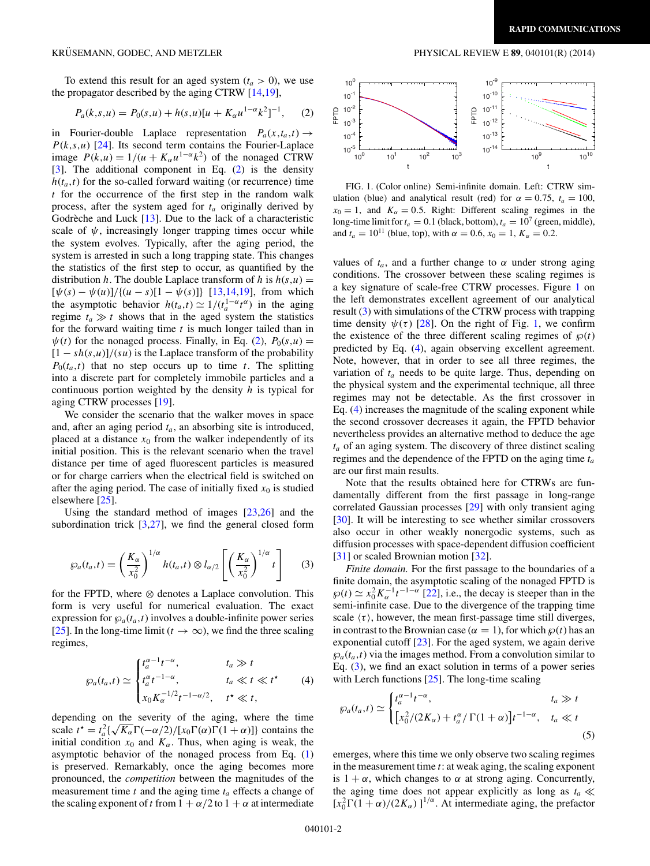To extend this result for an aged system  $(t_a > 0)$ , we use the propagator described by the aging CTRW [\[14,19\]](#page-4-0),

$$
P_a(k,s,u) = P_0(s,u) + h(s,u)[u + K_\alpha u^{1-\alpha}k^2]^{-1}, \quad (2)
$$

in Fourier-double Laplace representation  $P_a(x,t_a,t) \rightarrow$  $P(k,s,u)$  [\[24\]](#page-4-0). Its second term contains the Fourier-Laplace image  $P(k, u) = 1/(u + K_{\alpha}u^{1-\alpha}k^2)$  of the nonaged CTRW  $[3]$ . The additional component in Eq.  $(2)$  is the density  $h(t_a,t)$  for the so-called forward waiting (or recurrence) time *t* for the occurrence of the first step in the random walk process, after the system aged for *ta* originally derived by Godrèche and Luck  $[13]$  $[13]$ . Due to the lack of a characteristic scale of  $\psi$ , increasingly longer trapping times occur while the system evolves. Typically, after the aging period, the system is arrested in such a long trapping state. This changes the statistics of the first step to occur, as quantified by the distribution *h*. The double Laplace transform of *h* is  $h(s, u) =$  $[\psi(s) - \psi(u)]/{(u - s)[1 - \psi(s)]}$  [\[13,14,19\]](#page-4-0), from which the asymptotic behavior  $h(t_a,t) \simeq 1/(t_a^{1-\alpha}t^{\alpha})$  in the aging regime  $t_a \gg t$  shows that in the aged system the statistics for the forward waiting time *t* is much longer tailed than in  $\psi(t)$  for the nonaged process. Finally, in Eq. (2),  $P_0(s, u)$  =  $[1 - sh(s, u)]/(su)$  is the Laplace transform of the probability  $P_0(t_a,t)$  that no step occurs up to time *t*. The splitting into a discrete part for completely immobile particles and a continuous portion weighted by the density *h* is typical for aging CTRW processes [\[19\]](#page-4-0).

We consider the scenario that the walker moves in space and, after an aging period *ta*, an absorbing site is introduced, placed at a distance  $x_0$  from the walker independently of its initial position. This is the relevant scenario when the travel distance per time of aged fluorescent particles is measured or for charge carriers when the electrical field is switched on after the aging period. The case of initially fixed  $x_0$  is studied elsewhere [\[25\]](#page-4-0).

Using the standard method of images  $[23,26]$  and the subordination trick  $[3,27]$  $[3,27]$ , we find the general closed form

$$
\wp_a(t_a, t) = \left(\frac{K_{\alpha}}{x_0^2}\right)^{1/\alpha} h(t_a, t) \otimes l_{\alpha/2} \left[\left(\frac{K_{\alpha}}{x_0^2}\right)^{1/\alpha} t\right] \qquad (3)
$$

for the FPTD, where ⊗ denotes a Laplace convolution. This form is very useful for numerical evaluation. The exact expression for  $\mathcal{P}_a(t_a,t)$  involves a double-infinite power series [\[25\]](#page-4-0). In the long-time limit ( $t \to \infty$ ), we find the three scaling regimes,

$$
\wp_a(t_a, t) \simeq \begin{cases} t_a^{\alpha - 1} t^{-\alpha}, & t_a \gg t \\ t_a^{\alpha} t^{-1 - \alpha}, & t_a \ll t \ll t^* \\ x_0 K_{\alpha}^{-1/2} t^{-1 - \alpha/2}, & t^* \ll t, \end{cases}
$$
 (4)

depending on the severity of the aging, where the time scale  $t^* = t_a^2 \{\sqrt{K_\alpha} \Gamma(-\alpha/2)/[\dot{x}_0 \Gamma(\alpha) \Gamma(1+\alpha)]\}$  contains the initial condition  $x_0$  and  $K_\alpha$ . Thus, when aging is weak, the asymptotic behavior of the nonaged process from Eq. [\(1\)](#page-0-0) is preserved. Remarkably, once the aging becomes more pronounced, the *competition* between the magnitudes of the measurement time  $t$  and the aging time  $t_a$  effects a change of the scaling exponent of t from  $1 + \alpha/2$  to  $1 + \alpha$  at intermediate

# <span id="page-1-0"></span>KRÜSEMANN, GODEC, AND METZLER PHYSICAL REVIEW E 89, 040101(R) (2014)



FIG. 1. (Color online) Semi-infinite domain. Left: CTRW simulation (blue) and analytical result (red) for  $\alpha = 0.75$ ,  $t_a = 100$ ,  $x_0 = 1$ , and  $K_\alpha = 0.5$ . Right: Different scaling regimes in the long-time limit for  $t_a = 0.1$  (black, bottom),  $t_a = 10^7$  (green, middle), and  $t_a = 10^{11}$  (blue, top), with  $\alpha = 0.6$ ,  $x_0 = 1$ ,  $K_\alpha = 0.2$ .

values of  $t_a$ , and a further change to  $\alpha$  under strong aging conditions. The crossover between these scaling regimes is a key signature of scale-free CTRW processes. Figure 1 on the left demonstrates excellent agreement of our analytical result (3) with simulations of the CTRW process with trapping time density  $\psi(\tau)$  [\[28\]](#page-4-0). On the right of Fig. 1, we confirm the existence of the three different scaling regimes of  $\wp(t)$ predicted by Eq. (4), again observing excellent agreement. Note, however, that in order to see all three regimes, the variation of *ta* needs to be quite large. Thus, depending on the physical system and the experimental technique, all three regimes may not be detectable. As the first crossover in Eq. (4) increases the magnitude of the scaling exponent while the second crossover decreases it again, the FPTD behavior nevertheless provides an alternative method to deduce the age  $t_a$  of an aging system. The discovery of three distinct scaling regimes and the dependence of the FPTD on the aging time *ta* are our first main results.

Note that the results obtained here for CTRWs are fundamentally different from the first passage in long-range correlated Gaussian processes [\[29\]](#page-4-0) with only transient aging [\[30\]](#page-4-0). It will be interesting to see whether similar crossovers also occur in other weakly nonergodic systems, such as diffusion processes with space-dependent diffusion coefficient [\[31\]](#page-4-0) or scaled Brownian motion [\[32\]](#page-4-0).

*Finite domain.* For the first passage to the boundaries of a finite domain, the asymptotic scaling of the nonaged FPTD is  $\wp(t) \simeq x_0^2 K_\alpha^{-1} t^{-1-\alpha}$  [\[22\]](#page-4-0), i.e., the decay is steeper than in the semi-infinite case. Due to the divergence of the trapping time scale  $\langle \tau \rangle$ , however, the mean first-passage time still diverges, in contrast to the Brownian case ( $\alpha = 1$ ), for which  $\wp(t)$  has an exponential cutoff [\[23\]](#page-4-0). For the aged system, we again derive  $\wp_a(t_a,t)$  via the images method. From a convolution similar to Eq. (3), we find an exact solution in terms of a power series with Lerch functions [\[25\]](#page-4-0). The long-time scaling

$$
\wp_a(t_a, t) \simeq \begin{cases} t_a^{\alpha - 1} t^{-\alpha}, & t_a \gg t \\ \left[ x_0^2 / (2K_\alpha) + t_a^\alpha / \Gamma(1 + \alpha) \right] t^{-1 - \alpha}, & t_a \ll t \end{cases} \tag{5}
$$

emerges, where this time we only observe two scaling regimes in the measurement time *t*: at weak aging, the scaling exponent is  $1 + \alpha$ , which changes to  $\alpha$  at strong aging. Concurrently, the aging time does not appear explicitly as long as  $t_a \ll$  $[x_0^2 \Gamma(1 + \alpha)/(2K_\alpha)]^{1/\alpha}$ . At intermediate aging, the prefactor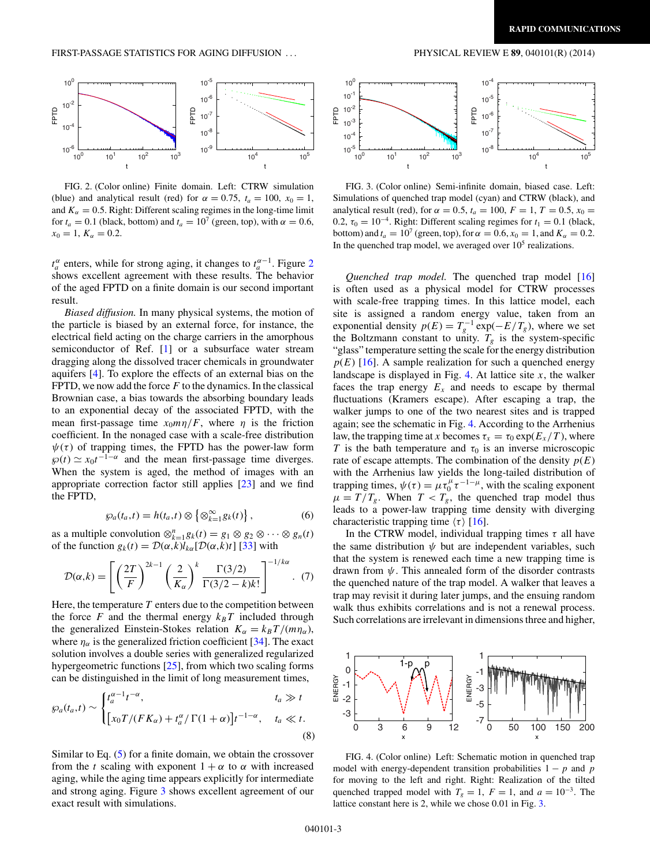# <span id="page-2-0"></span>FIRST-PASSAGE STATISTICS FOR AGING DIFFUSION . . . PHYSICAL REVIEW E **89**, 040101(R) (2014)



FIG. 2. (Color online) Finite domain. Left: CTRW simulation (blue) and analytical result (red) for  $\alpha = 0.75$ ,  $t_a = 100$ ,  $x_0 = 1$ , and  $K_{\alpha} = 0.5$ . Right: Different scaling regimes in the long-time limit for  $t_a = 0.1$  (black, bottom) and  $t_a = 10^7$  (green, top), with  $\alpha = 0.6$ ,  $x_0 = 1, K_\alpha = 0.2.$ 

 $t_a^{\alpha}$  enters, while for strong aging, it changes to  $t_a^{\alpha-1}$ . Figure 2 shows excellent agreement with these results. The behavior of the aged FPTD on a finite domain is our second important result.

*Biased diffusion.* In many physical systems, the motion of the particle is biased by an external force, for instance, the electrical field acting on the charge carriers in the amorphous semiconductor of Ref. [\[1\]](#page-3-0) or a subsurface water stream dragging along the dissolved tracer chemicals in groundwater aquifers [\[4\]](#page-3-0). To explore the effects of an external bias on the FPTD, we now add the force *F* to the dynamics. In the classical Brownian case, a bias towards the absorbing boundary leads to an exponential decay of the associated FPTD, with the mean first-passage time  $x_0 m \eta / F$ , where  $\eta$  is the friction coefficient. In the nonaged case with a scale-free distribution  $\psi(\tau)$  of trapping times, the FPTD has the power-law form  $\wp(t) \simeq x_0 t^{-1-\alpha}$  and the mean first-passage time diverges. When the system is aged, the method of images with an appropriate correction factor still applies [\[23\]](#page-4-0) and we find the FPTD,

$$
\wp_a(t_a, t) = h(t_a, t) \otimes \left\{ \otimes_{k=1}^{\infty} g_k(t) \right\},\tag{6}
$$

as a multiple convolution  $\otimes_{k=1}^{n} g_k(t) = g_1 \otimes g_2 \otimes \cdots \otimes g_n(t)$ of the function  $g_k(t) = \mathcal{D}(\alpha, k)l_{k\alpha}[\mathcal{D}(\alpha, k)t]$  [\[33\]](#page-4-0) with

$$
\mathcal{D}(\alpha,k) = \left[ \left( \frac{2T}{F} \right)^{2k-1} \left( \frac{2}{K_{\alpha}} \right)^k \frac{\Gamma(3/2)}{\Gamma(3/2-k)k!} \right]^{-1/k\alpha} . (7)
$$

Here, the temperature  $T$  enters due to the competition between the force *F* and the thermal energy  $k_B T$  included through the generalized Einstein-Stokes relation  $K_{\alpha} = k_B T/(m \eta_{\alpha})$ , where  $\eta_{\alpha}$  is the generalized friction coefficient [\[34\]](#page-4-0). The exact solution involves a double series with generalized regularized hypergeometric functions [\[25\]](#page-4-0), from which two scaling forms can be distinguished in the limit of long measurement times,

$$
\wp_a(t_a, t) \sim \begin{cases} t_a^{\alpha - 1} t^{-\alpha}, & t_a \gg t \\ \left[ x_0 T / (F K_\alpha) + t_a^{\alpha} / \Gamma(1 + \alpha) \right] t^{-1 - \alpha}, & t_a \ll t. \end{cases}
$$
\n(8)

Similar to Eq.  $(5)$  for a finite domain, we obtain the crossover from the *t* scaling with exponent  $1 + \alpha$  to  $\alpha$  with increased aging, while the aging time appears explicitly for intermediate and strong aging. Figure 3 shows excellent agreement of our exact result with simulations.



FIG. 3. (Color online) Semi-infinite domain, biased case. Left: Simulations of quenched trap model (cyan) and CTRW (black), and analytical result (red), for  $\alpha = 0.5$ ,  $t_a = 100$ ,  $F = 1$ ,  $T = 0.5$ ,  $x_0 =$ 0.2,  $\tau_0 = 10^{-4}$ . Right: Different scaling regimes for  $t_1 = 0.1$  (black, bottom) and  $t_a = 10^7$  (green, top), for  $\alpha = 0.6$ ,  $x_0 = 1$ , and  $K_\alpha = 0.2$ . In the quenched trap model, we averaged over  $10<sup>5</sup>$  realizations.

*Quenched trap model.* The quenched trap model [\[16\]](#page-4-0) is often used as a physical model for CTRW processes with scale-free trapping times. In this lattice model, each site is assigned a random energy value, taken from an exponential density  $p(E) = T_g^{-1} \exp(-E/T_g)$ , where we set the Boltzmann constant to unity.  $T_g$  is the system-specific "glass" temperature setting the scale for the energy distribution  $p(E)$  [\[16\]](#page-4-0). A sample realization for such a quenched energy landscape is displayed in Fig. 4. At lattice site  $x$ , the walker faces the trap energy  $E_x$  and needs to escape by thermal fluctuations (Kramers escape). After escaping a trap, the walker jumps to one of the two nearest sites and is trapped again; see the schematic in Fig. 4. According to the Arrhenius law, the trapping time at *x* becomes  $\tau_x = \tau_0 \exp(E_x/T)$ , where *T* is the bath temperature and  $\tau_0$  is an inverse microscopic rate of escape attempts. The combination of the density  $p(E)$ with the Arrhenius law yields the long-tailed distribution of trapping times,  $\psi(\tau) = \mu \tau_0^{\mu} \tau^{-1-\mu}$ , with the scaling exponent  $\mu = T/T_g$ . When  $T < T_g$ , the quenched trap model thus leads to a power-law trapping time density with diverging characteristic trapping time  $\langle \tau \rangle$  [\[16\]](#page-4-0).

In the CTRW model, individual trapping times  $\tau$  all have the same distribution  $\psi$  but are independent variables, such that the system is renewed each time a new trapping time is drawn from  $\psi$ . This annealed form of the disorder contrasts the quenched nature of the trap model. A walker that leaves a trap may revisit it during later jumps, and the ensuing random walk thus exhibits correlations and is not a renewal process. Such correlations are irrelevant in dimensions three and higher,



FIG. 4. (Color online) Left: Schematic motion in quenched trap model with energy-dependent transition probabilities  $1 - p$  and *p* for moving to the left and right. Right: Realization of the tilted quenched trapped model with  $T_g = 1$ ,  $F = 1$ , and  $a = 10^{-3}$ . The lattice constant here is 2, while we chose 0*.*01 in Fig. 3.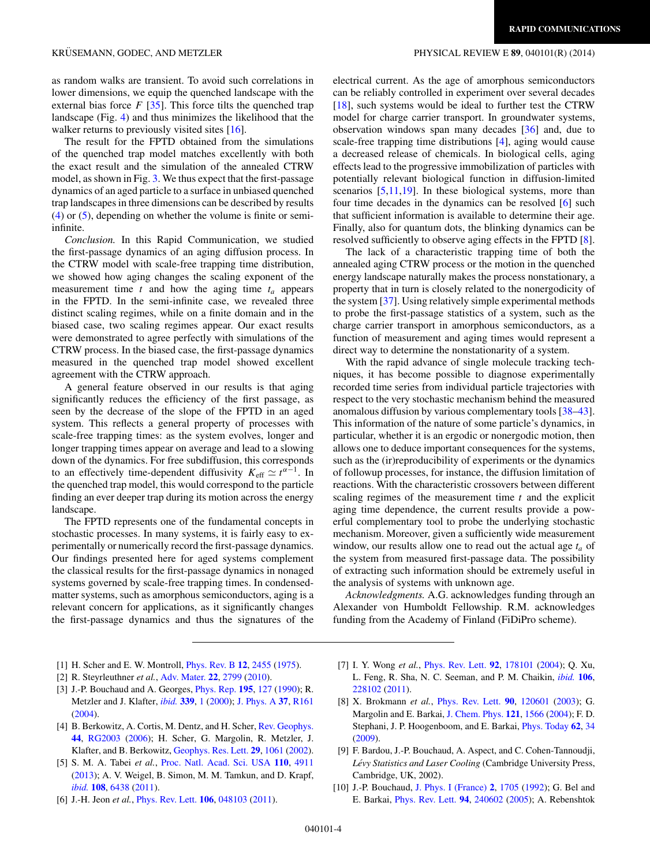<span id="page-3-0"></span>as random walks are transient. To avoid such correlations in lower dimensions, we equip the quenched landscape with the external bias force  $F$  [\[35\]](#page-4-0). This force tilts the quenched trap landscape (Fig. [4\)](#page-2-0) and thus minimizes the likelihood that the walker returns to previously visited sites [\[16\]](#page-4-0).

The result for the FPTD obtained from the simulations of the quenched trap model matches excellently with both the exact result and the simulation of the annealed CTRW model, as shown in Fig. [3.](#page-2-0) We thus expect that the first-passage dynamics of an aged particle to a surface in unbiased quenched trap landscapes in three dimensions can be described by results [\(4\)](#page-1-0) or [\(5\)](#page-1-0), depending on whether the volume is finite or semiinfinite.

*Conclusion.* In this Rapid Communication, we studied the first-passage dynamics of an aging diffusion process. In the CTRW model with scale-free trapping time distribution, we showed how aging changes the scaling exponent of the measurement time  $t$  and how the aging time  $t_a$  appears in the FPTD. In the semi-infinite case, we revealed three distinct scaling regimes, while on a finite domain and in the biased case, two scaling regimes appear. Our exact results were demonstrated to agree perfectly with simulations of the CTRW process. In the biased case, the first-passage dynamics measured in the quenched trap model showed excellent agreement with the CTRW approach.

A general feature observed in our results is that aging significantly reduces the efficiency of the first passage, as seen by the decrease of the slope of the FPTD in an aged system. This reflects a general property of processes with scale-free trapping times: as the system evolves, longer and longer trapping times appear on average and lead to a slowing down of the dynamics. For free subdiffusion, this corresponds to an effectively time-dependent diffusivity  $K_{\text{eff}} \simeq t^{\alpha-1}$ . In the quenched trap model, this would correspond to the particle finding an ever deeper trap during its motion across the energy landscape.

The FPTD represents one of the fundamental concepts in stochastic processes. In many systems, it is fairly easy to experimentally or numerically record the first-passage dynamics. Our findings presented here for aged systems complement the classical results for the first-passage dynamics in nonaged systems governed by scale-free trapping times. In condensedmatter systems, such as amorphous semiconductors, aging is a relevant concern for applications, as it significantly changes the first-passage dynamics and thus the signatures of the

electrical current. As the age of amorphous semiconductors can be reliably controlled in experiment over several decades [\[18\]](#page-4-0), such systems would be ideal to further test the CTRW model for charge carrier transport. In groundwater systems, observation windows span many decades [\[36\]](#page-4-0) and, due to scale-free trapping time distributions [4], aging would cause a decreased release of chemicals. In biological cells, aging effects lead to the progressive immobilization of particles with potentially relevant biological function in diffusion-limited scenarios  $[5,11,19]$  $[5,11,19]$ . In these biological systems, more than four time decades in the dynamics can be resolved [6] such that sufficient information is available to determine their age. Finally, also for quantum dots, the blinking dynamics can be resolved sufficiently to observe aging effects in the FPTD [8].

The lack of a characteristic trapping time of both the annealed aging CTRW process or the motion in the quenched energy landscape naturally makes the process nonstationary, a property that in turn is closely related to the nonergodicity of the system [\[37\]](#page-4-0). Using relatively simple experimental methods to probe the first-passage statistics of a system, such as the charge carrier transport in amorphous semiconductors, as a function of measurement and aging times would represent a direct way to determine the nonstationarity of a system.

With the rapid advance of single molecule tracking techniques, it has become possible to diagnose experimentally recorded time series from individual particle trajectories with respect to the very stochastic mechanism behind the measured anomalous diffusion by various complementary tools [\[38–43\]](#page-4-0). This information of the nature of some particle's dynamics, in particular, whether it is an ergodic or nonergodic motion, then allows one to deduce important consequences for the systems, such as the (ir)reproducibility of experiments or the dynamics of followup processes, for instance, the diffusion limitation of reactions. With the characteristic crossovers between different scaling regimes of the measurement time *t* and the explicit aging time dependence, the current results provide a powerful complementary tool to probe the underlying stochastic mechanism. Moreover, given a sufficiently wide measurement window, our results allow one to read out the actual age  $t_a$  of the system from measured first-passage data. The possibility of extracting such information should be extremely useful in the analysis of systems with unknown age.

*Acknowledgments.* A.G. acknowledges funding through an Alexander von Humboldt Fellowship. R.M. acknowledges funding from the Academy of Finland (FiDiPro scheme).

- [1] H. Scher and E. W. Montroll, [Phys. Rev. B](http://dx.doi.org/10.1103/PhysRevB.12.2455) **[12](http://dx.doi.org/10.1103/PhysRevB.12.2455)**, [2455](http://dx.doi.org/10.1103/PhysRevB.12.2455) [\(1975\)](http://dx.doi.org/10.1103/PhysRevB.12.2455).
- [2] R. Steyrleuthner *et al.*, [Adv. Mater.](http://dx.doi.org/10.1002/adma.201000232) **[22](http://dx.doi.org/10.1002/adma.201000232)**, [2799](http://dx.doi.org/10.1002/adma.201000232) [\(2010\)](http://dx.doi.org/10.1002/adma.201000232).
- [3] J.-P. Bouchaud and A. Georges, [Phys. Rep.](http://dx.doi.org/10.1016/0370-1573(90)90099-N) **[195](http://dx.doi.org/10.1016/0370-1573(90)90099-N)**, [127](http://dx.doi.org/10.1016/0370-1573(90)90099-N) [\(1990\)](http://dx.doi.org/10.1016/0370-1573(90)90099-N); R. Metzler and J. Klafter, *[ibid.](http://dx.doi.org/10.1016/S0370-1573(00)00070-3)* **[339](http://dx.doi.org/10.1016/S0370-1573(00)00070-3)**, [1](http://dx.doi.org/10.1016/S0370-1573(00)00070-3) [\(2000\)](http://dx.doi.org/10.1016/S0370-1573(00)00070-3); J. Phys. A [37](http://dx.doi.org/10.1088/0305-4470/37/31/R01), [R161](http://dx.doi.org/10.1088/0305-4470/37/31/R01) [\(2004\)](http://dx.doi.org/10.1088/0305-4470/37/31/R01).
- [4] B. Berkowitz, A. Cortis, M. Dentz, and H. Scher, [Rev. Geophys.](http://dx.doi.org/10.1029/2005RG000178) **[44](http://dx.doi.org/10.1029/2005RG000178)**, [RG2003](http://dx.doi.org/10.1029/2005RG000178) [\(2006\)](http://dx.doi.org/10.1029/2005RG000178); H. Scher, G. Margolin, R. Metzler, J. Klafter, and B. Berkowitz, [Geophys. Res. Lett.](http://dx.doi.org/10.1029/2001GL014123) **[29](http://dx.doi.org/10.1029/2001GL014123)**, [1061](http://dx.doi.org/10.1029/2001GL014123) [\(2002\)](http://dx.doi.org/10.1029/2001GL014123).
- [5] S. M. A. Tabei *et al.*, [Proc. Natl. Acad. Sci. USA](http://dx.doi.org/10.1073/pnas.1221962110) **[110](http://dx.doi.org/10.1073/pnas.1221962110)**, [4911](http://dx.doi.org/10.1073/pnas.1221962110) [\(2013\)](http://dx.doi.org/10.1073/pnas.1221962110); A. V. Weigel, B. Simon, M. M. Tamkun, and D. Krapf, *[ibid.](http://dx.doi.org/10.1073/pnas.1016325108)* **[108](http://dx.doi.org/10.1073/pnas.1016325108)**, [6438](http://dx.doi.org/10.1073/pnas.1016325108) [\(2011\)](http://dx.doi.org/10.1073/pnas.1016325108).
- [6] J.-H. Jeon *et al.*, [Phys. Rev. Lett.](http://dx.doi.org/10.1103/PhysRevLett.106.048103) **[106](http://dx.doi.org/10.1103/PhysRevLett.106.048103)**, [048103](http://dx.doi.org/10.1103/PhysRevLett.106.048103) [\(2011\)](http://dx.doi.org/10.1103/PhysRevLett.106.048103).
- [7] I. Y. Wong *et al.*, [Phys. Rev. Lett.](http://dx.doi.org/10.1103/PhysRevLett.92.178101) **[92](http://dx.doi.org/10.1103/PhysRevLett.92.178101)**, [178101](http://dx.doi.org/10.1103/PhysRevLett.92.178101) [\(2004\)](http://dx.doi.org/10.1103/PhysRevLett.92.178101); Q. Xu, L. Feng, R. Sha, N. C. Seeman, and P. M. Chaikin, *[ibid.](http://dx.doi.org/10.1103/PhysRevLett.106.228102)* **[106](http://dx.doi.org/10.1103/PhysRevLett.106.228102)**, [228102](http://dx.doi.org/10.1103/PhysRevLett.106.228102) [\(2011\)](http://dx.doi.org/10.1103/PhysRevLett.106.228102).
- [8] X. Brokmann *et al.*, [Phys. Rev. Lett.](http://dx.doi.org/10.1103/PhysRevLett.90.120601) **[90](http://dx.doi.org/10.1103/PhysRevLett.90.120601)**, [120601](http://dx.doi.org/10.1103/PhysRevLett.90.120601) [\(2003\)](http://dx.doi.org/10.1103/PhysRevLett.90.120601); G. Margolin and E. Barkai, [J. Chem. Phys.](http://dx.doi.org/10.1063/1.1763136) **[121](http://dx.doi.org/10.1063/1.1763136)**, [1566](http://dx.doi.org/10.1063/1.1763136) [\(2004\)](http://dx.doi.org/10.1063/1.1763136); F. D. Stephani, J. P. Hoogenboom, and E. Barkai, [Phys. Today](http://dx.doi.org/10.1063/1.3086100) **[62](http://dx.doi.org/10.1063/1.3086100)**, [34](http://dx.doi.org/10.1063/1.3086100) [\(2009\)](http://dx.doi.org/10.1063/1.3086100).
- [9] F. Bardou, J.-P. Bouchaud, A. Aspect, and C. Cohen-Tannoudji, Lévy Statistics and Laser Cooling (Cambridge University Press, Cambridge, UK, 2002).
- [10] J.-P. Bouchaud, [J. Phys. I \(France\)](http://dx.doi.org/10.1051/jp1:1992238) **[2](http://dx.doi.org/10.1051/jp1:1992238)**, [1705](http://dx.doi.org/10.1051/jp1:1992238) [\(1992\)](http://dx.doi.org/10.1051/jp1:1992238); G. Bel and E. Barkai, [Phys. Rev. Lett.](http://dx.doi.org/10.1103/PhysRevLett.94.240602) **[94](http://dx.doi.org/10.1103/PhysRevLett.94.240602)**, [240602](http://dx.doi.org/10.1103/PhysRevLett.94.240602) [\(2005\)](http://dx.doi.org/10.1103/PhysRevLett.94.240602); A. Rebenshtok